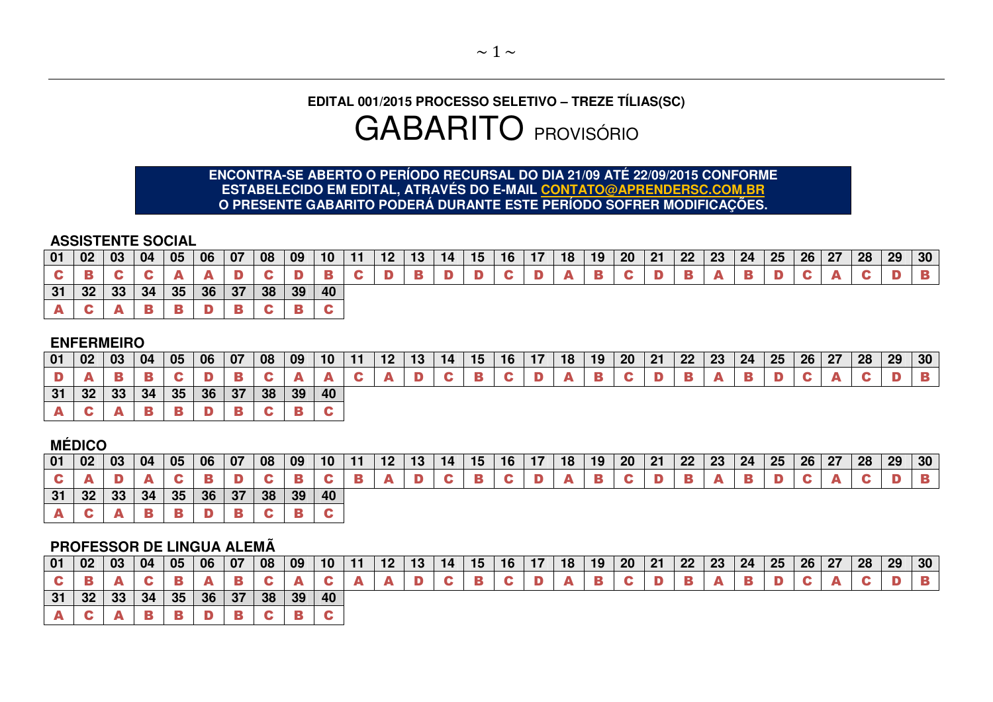# **EDITAL 001/2015 PROCESSO SELETIVO – TREZE TÍLIAS(SC)** GABARITO PROVISÓRIO

# **ENCONTRA-SE ABERTO O PERÍODO RECURSAL DO DIA 21/09 ATÉ 22/09/2015 CONFORME ESTABELECIDO EM EDITAL, ATRAVÉS DO E-MAIL CONTATO@APRENDERSC.COM.BR O PRESENTE GABARITO PODERÁ DURANTE ESTE PERÍODO SOFRER MODIFICAÇÕES.**

#### **ASSISTENTE SOCIAL**

|       |  | 01   02   03   04   05   06   07   08   09   10   11   12   13   14   15   16   17   18   19   20   21   22   23   24   25   26   27   28   29   30 |  |  |  |  |  |  |  |             |  |  |  |  |  |  |
|-------|--|-----------------------------------------------------------------------------------------------------------------------------------------------------|--|--|--|--|--|--|--|-------------|--|--|--|--|--|--|
|       |  | C B C C A                                                                                                                                           |  |  |  |  |  |  |  | $A$ $B$ $C$ |  |  |  |  |  |  |
|       |  | $31 \vert 32 \vert 33 \vert 34 \vert 35 \vert 36 \vert 37 \vert 38 \vert 39 \vert 40$                                                               |  |  |  |  |  |  |  |             |  |  |  |  |  |  |
| A C A |  |                                                                                                                                                     |  |  |  |  |  |  |  |             |  |  |  |  |  |  |

### **ENFERMEIRO**

| 01 | 02 <sub>2</sub> | $\vert 03 \vert$          | 04                          | $\vert 05 \vert$ | 06 07 08 09 |  |    | $10$   11 |  | $12$   13   14   15 |  | $16$   17 | 18   19   20   21   22   23   24   25   26   27   28 <sub> </sub> |  |  |  |  | 29 | 30 <sup>°</sup> |
|----|-----------------|---------------------------|-----------------------------|------------------|-------------|--|----|-----------|--|---------------------|--|-----------|-------------------------------------------------------------------|--|--|--|--|----|-----------------|
|    |                 |                           |                             |                  |             |  |    |           |  |                     |  |           |                                                                   |  |  |  |  |    |                 |
|    |                 | $31 \mid 32 \mid 33 \mid$ | 34   35   36   37   38   39 |                  |             |  | 40 |           |  |                     |  |           |                                                                   |  |  |  |  |    |                 |
|    |                 |                           |                             |                  |             |  |    |           |  |                     |  |           |                                                                   |  |  |  |  |    |                 |

## **MÉDICO**

| 01 | 02 | $\blacksquare$ 03 | 04 | 05      | $\sqrt{06}$ | 07 | 08 | 09                | 10 | 11 | 12 | 13 | 14 | 15 | $16 \mid 17$ | 18 | 19 | <b>20</b> | 21 | 22 | $\vert 23 \vert$ | 24 25 | 26 27 | 28 | 29 | 30 <sub>o</sub> |
|----|----|-------------------|----|---------|-------------|----|----|-------------------|----|----|----|----|----|----|--------------|----|----|-----------|----|----|------------------|-------|-------|----|----|-----------------|
|    |    |                   |    |         |             |    |    |                   |    |    |    |    |    |    |              |    |    |           |    |    |                  |       |       |    |    |                 |
| 31 |    | $32 \mid 33 \mid$ |    | 34   35 |             |    |    | 36   37   38   39 | 40 |    |    |    |    |    |              |    |    |           |    |    |                  |       |       |    |    |                 |
|    |    |                   |    |         |             |    |    |                   |    |    |    |    |    |    |              |    |    |           |    |    |                  |       |       |    |    |                 |

### **PROFESSOR DE LINGUA ALEMÃ**

| 01 | 02              | 03 | 04 | 05 | 06 | 07 | 08 | $\mid$ 09 | 10 <sup>°</sup> | $\overline{\phantom{a}}$ |  | 15 | 16 | 18 | 19 | <b>20</b> | 21 | 22 | 23 | 24 | 25 | 26 | 27 | 28 | 29 | 30 <sup>°</sup> |
|----|-----------------|----|----|----|----|----|----|-----------|-----------------|--------------------------|--|----|----|----|----|-----------|----|----|----|----|----|----|----|----|----|-----------------|
|    |                 |    |    |    |    |    |    |           |                 |                          |  |    |    |    |    |           |    |    |    |    |    |    |    |    |    |                 |
| 31 | 32 <sub>2</sub> | 33 | 34 | 35 | 36 | 37 | 38 | 39        | 40              |                          |  |    |    |    |    |           |    |    |    |    |    |    |    |    |    |                 |
|    |                 |    |    |    |    |    |    |           |                 |                          |  |    |    |    |    |           |    |    |    |    |    |    |    |    |    |                 |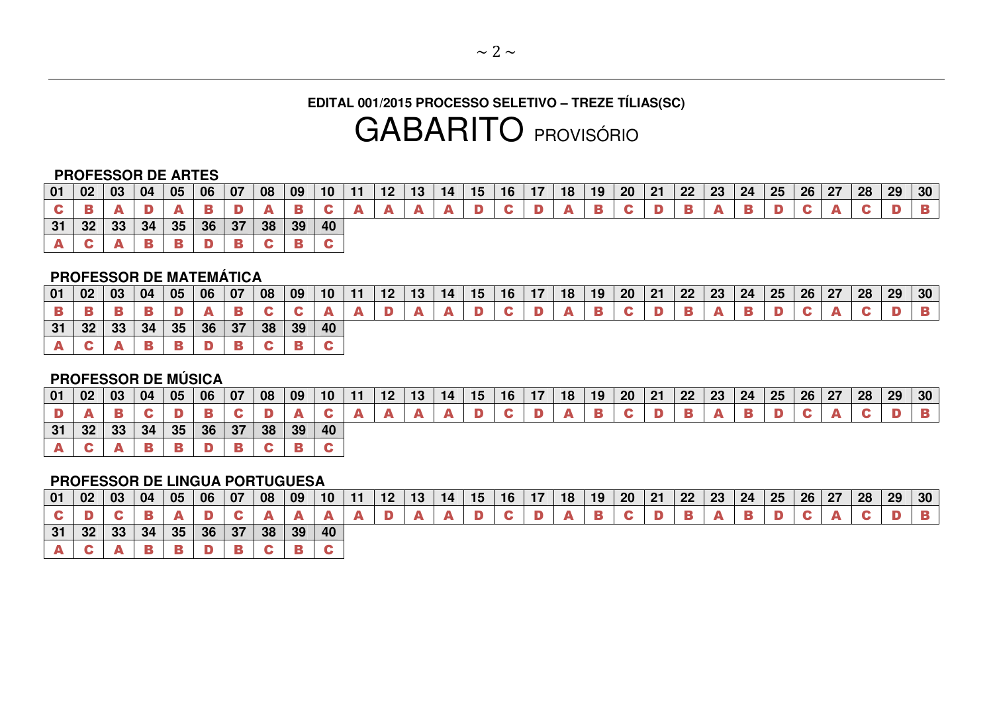# **EDITAL 001/2015 PROCESSO SELETIVO – TREZE TÍLIAS(SC)** GABARITO PROVISÓRIO

#### **PROFESSOR DE ARTES**

| 01 | 02 | 03 | 04 | 05 | 06              | 07 | 08 | $\vert$ 09 | 10 | $\epsilon$ | 13 | 14 | 15 | 16 | 17 | 18 | 19 | 20 | $\vert$ 21 | 22 | $\vert$ 23 | 24 | 25 | 26 27 | 28 | 29 | 30 |
|----|----|----|----|----|-----------------|----|----|------------|----|------------|----|----|----|----|----|----|----|----|------------|----|------------|----|----|-------|----|----|----|
|    |    |    |    |    |                 |    |    |            |    |            |    |    |    |    |    |    |    |    |            |    |            |    |    |       |    |    |    |
| 31 | 32 | 33 | 34 | 35 | 36 <sup>7</sup> | 37 | 38 | 39         | 40 |            |    |    |    |    |    |    |    |    |            |    |            |    |    |       |    |    |    |
|    |    |    |    |    |                 |    |    |            |    |            |    |    |    |    |    |    |    |    |            |    |            |    |    |       |    |    |    |

### **PROFESSOR DE MATEMÁTICA**

| $ 01\rangle$ | 02 03 |                 | -04 | 05 | 06 07        | 08 | 09 | 10 <sup>°</sup> |  | 14 | 16 | 18 | $\vert$ 19 | 20 <sup>°</sup> | $\vert$ 21 | $\vert$ 22 | $\vert$ 23 | 24 | 25 | 26 | 27 | 28 | 29 | 30 |
|--------------|-------|-----------------|-----|----|--------------|----|----|-----------------|--|----|----|----|------------|-----------------|------------|------------|------------|----|----|----|----|----|----|----|
|              |       |                 |     |    |              |    |    |                 |  |    |    |    |            |                 |            |            |            |    |    |    |    |    |    |    |
| 31           | 32    | 33 <sub>1</sub> | 34  | 35 | $36 \mid 37$ | 38 | 39 | 40              |  |    |    |    |            |                 |            |            |            |    |    |    |    |    |    |    |
|              |       |                 |     |    |              |    |    |                 |  |    |    |    |            |                 |            |            |            |    |    |    |    |    |    |    |

### **PROFESSOR DE MÚSICA**

| 01 | 02              | 03 | 04 | 05 | 06           | 07 | 08                         | 09  | 10 | 11 | 12 | 13 | 14 | 15 | 16 | 18 | 19 | 20 | 21 | 22 | 23 | 24 | 25 | 26 27 28 | 29 30 |  |
|----|-----------------|----|----|----|--------------|----|----------------------------|-----|----|----|----|----|----|----|----|----|----|----|----|----|----|----|----|----------|-------|--|
|    |                 |    |    |    |              |    |                            |     |    |    |    |    |    |    |    |    |    |    |    |    |    |    |    |          |       |  |
| 31 | 32 <sub>1</sub> | 33 | 34 | 35 | $36 \mid 37$ |    | $\parallel$ 38 $\parallel$ | 139 | 40 |    |    |    |    |    |    |    |    |    |    |    |    |    |    |          |       |  |
|    |                 |    |    |    |              |    |                            |     |    |    |    |    |    |    |    |    |    |    |    |    |    |    |    |          |       |  |

### **PROFESSOR DE LINGUA PORTUGUESA**

| $\vert 01 \vert 02 \vert$ | 03 04 |                           | 05              | 06 07        | 08 | $ 09\rangle$ | 10 <sup>1</sup> | 11 | $\vert$ 13 | $14$   15 | 16 | 17 | $18$ 19 | $20 \mid 21$ |  |  | 22   23   24   25 | 26 27 | 28 | $\vert$ 29 | 30 |
|---------------------------|-------|---------------------------|-----------------|--------------|----|--------------|-----------------|----|------------|-----------|----|----|---------|--------------|--|--|-------------------|-------|----|------------|----|
|                           |       |                           |                 |              |    |              |                 |    |            |           |    |    |         |              |  |  |                   |       |    |            |    |
| 31                        |       | $32 \mid 33 \mid 34 \mid$ | 35 <sup>1</sup> | $36 \mid 37$ | 38 | 39           | 40              |    |            |           |    |    |         |              |  |  |                   |       |    |            |    |
|                           |       |                           |                 |              |    |              |                 |    |            |           |    |    |         |              |  |  |                   |       |    |            |    |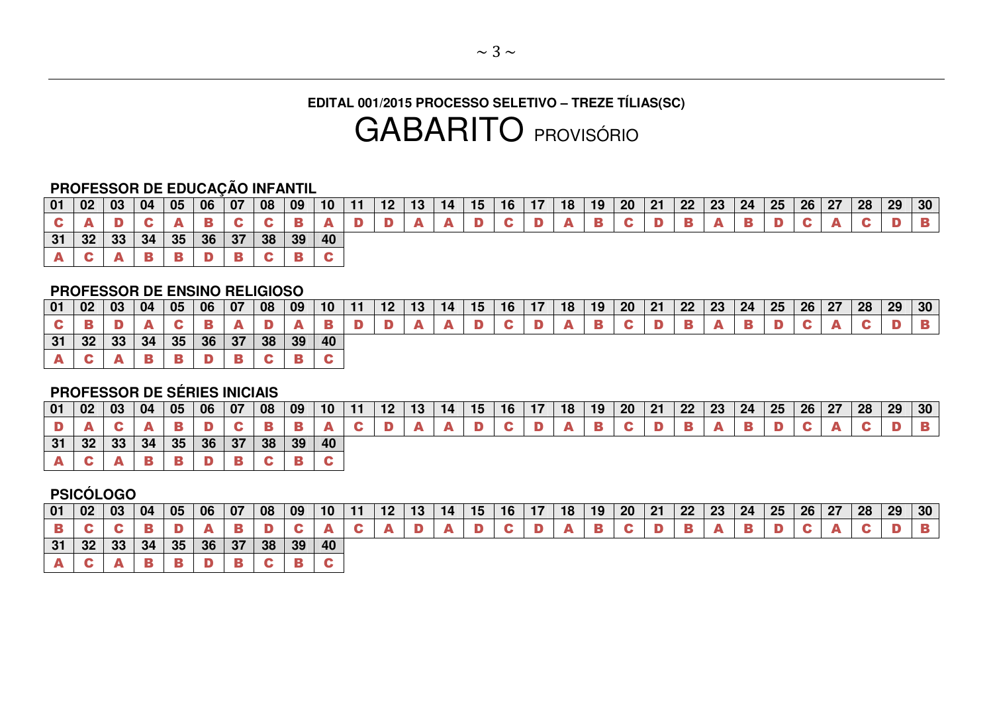# **EDITAL 001/2015 PROCESSO SELETIVO – TREZE TÍLIAS(SC)** GABARITO PROVISÓRIO

## **PROFESSOR DE EDUCAÇÃO INFANTIL**

| 01 | 02 | $\vert$ 03           | 04 | 05               | 06 | 07 | 08 | 09      | 10 <sup>1</sup> | 11 | 12 <sub>1</sub> | 13 | 14 I | 15 | 16 <sup>1</sup> | 18 <sup>1</sup> | 19 <sub>1</sub> | $20 \mid 21$ | 22 23 | 24 | 25 | 26 27 | 28 | 29 | 30 <sup>°</sup> |
|----|----|----------------------|----|------------------|----|----|----|---------|-----------------|----|-----------------|----|------|----|-----------------|-----------------|-----------------|--------------|-------|----|----|-------|----|----|-----------------|
|    |    |                      |    |                  |    |    |    |         |                 |    |                 |    |      |    |                 |                 |                 |              |       |    |    |       |    |    |                 |
| 31 |    | $32 \mid 33 \mid 34$ |    | $\vert 35 \vert$ | 36 | 37 |    | 38   39 | $\vert$ 40      |    |                 |    |      |    |                 |                 |                 |              |       |    |    |       |    |    |                 |
|    |    |                      |    |                  |    |    |    |         |                 |    |                 |    |      |    |                 |                 |                 |              |       |    |    |       |    |    |                 |

#### **PROFESSOR DE ENSINO RELIGIOSO**

| 01 | 02              | 03 | 04 | 05 | 06           | 07 | 08 | 09 | 10 <sup>°</sup> |  | 14 | 15 |  | 18 | 19 | 20 <sub>2</sub> | $\vert$ 21 | 22 | $\vert$ 23 | $24 \mid 25$ | 26 | 27 | 28 | 29 | 30 <sub>o</sub> |
|----|-----------------|----|----|----|--------------|----|----|----|-----------------|--|----|----|--|----|----|-----------------|------------|----|------------|--------------|----|----|----|----|-----------------|
|    |                 |    |    |    |              |    |    |    |                 |  |    |    |  |    |    |                 |            |    |            |              |    |    |    |    |                 |
| 31 | 32 <sub>2</sub> | 33 | 34 | 35 | $36 \mid 37$ |    | 38 | 39 | 40              |  |    |    |  |    |    |                 |            |    |            |              |    |    |    |    |                 |
|    |                 |    |    |    |              |    |    |    |                 |  |    |    |  |    |    |                 |            |    |            |              |    |    |    |    |                 |

### **PROFESSOR DE SÉRIES INICIAIS**

| 01 | 02 | 03 | 04 | 05 | 06 | $ 07\rangle$ | 08 | 09 | 10 | -11 | 12 | 13 | 14 | 15 | 16 | 18 | 19 | <b>20</b> | 21 | 22 | 23 | 24 | 25 | 26 27 | 28 | 29 | 30 <sup>°</sup> |
|----|----|----|----|----|----|--------------|----|----|----|-----|----|----|----|----|----|----|----|-----------|----|----|----|----|----|-------|----|----|-----------------|
|    |    |    |    |    |    |              |    |    |    |     |    |    |    |    |    |    |    |           |    |    |    |    |    |       |    |    |                 |
| 31 | 32 | 33 | 34 | 35 | 36 | 37           | 38 | 39 | 40 |     |    |    |    |    |    |    |    |           |    |    |    |    |    |       |    |    |                 |
|    |    |    |    |    |    |              |    |    |    |     |    |    |    |    |    |    |    |           |    |    |    |    |    |       |    |    |                 |

## **PSICÓLOGO**

| 01 | 02        | 03 | 04 | 05 | 06 | 07 | 08 | 09 | 10 | 12 | 13 | 15 | 16 | $\blacksquare$ | 18 | 19 | 20 <sub>1</sub> | 21 | 22 | $\vert$ 23 | 24 | 25 | $26 \mid 27$ | 28 | 29 | 30 |
|----|-----------|----|----|----|----|----|----|----|----|----|----|----|----|----------------|----|----|-----------------|----|----|------------|----|----|--------------|----|----|----|
| В  |           |    |    |    |    |    |    |    |    |    |    |    |    |                |    |    |                 |    |    |            |    |    |              |    |    |    |
| 31 | ົາງ<br>∠ت | 33 | 34 | 35 | 36 | 37 | 38 | 39 | 40 |    |    |    |    |                |    |    |                 |    |    |            |    |    |              |    |    |    |
|    |           |    |    |    |    |    |    |    |    |    |    |    |    |                |    |    |                 |    |    |            |    |    |              |    |    |    |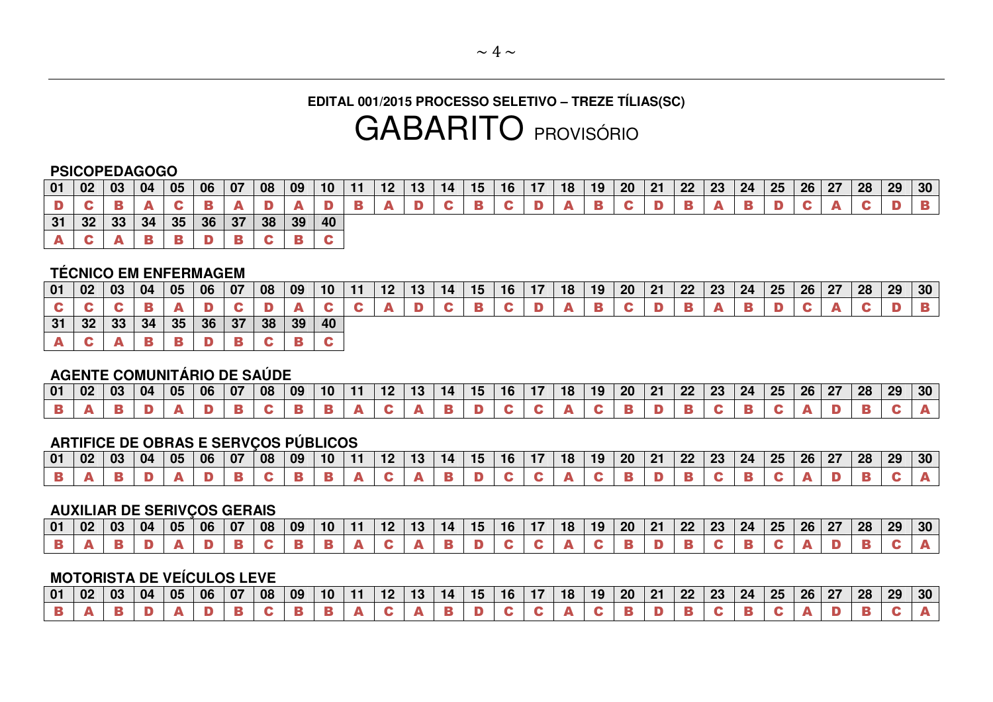# **EDITAL 001/2015 PROCESSO SELETIVO – TREZE TÍLIAS(SC)**  GABARITO PROVISÓRIO

#### **PSICOPEDAGOGO**

| 01 | 02              | 03 | 04 | 05 | 06 | 07 | 08 | 09 | 10 <sup>°</sup> |  | 13 | 14 | 15 | 16 | 18 | 19 | 20 | 21 | 22 <sup>°</sup> | 23 | 24 | 25 | 26 27 | 28 | 29 | 30 <sup>°</sup> |
|----|-----------------|----|----|----|----|----|----|----|-----------------|--|----|----|----|----|----|----|----|----|-----------------|----|----|----|-------|----|----|-----------------|
|    |                 |    |    |    |    |    |    |    |                 |  |    |    |    |    |    |    |    |    |                 |    |    |    |       |    |    |                 |
| 31 | 32 <sub>2</sub> | 33 | 34 | 35 | 36 | 37 | 38 | 39 | 40              |  |    |    |    |    |    |    |    |    |                 |    |    |    |       |    |    |                 |
|    |                 |    |    |    |    |    |    |    |                 |  |    |    |    |    |    |    |    |    |                 |    |    |    |       |    |    |                 |

### **TÉCNICO EM ENFERMAGEM**

| 01 | $\vert$ 02 $\vert$ 03 |    | 04 | 05 | 06 07 |    | 08 | 09 | 10 | $-11$ | 12 | 13 | 14 | 15 | 16 <sup>7</sup> | 18 <sup>1</sup> | 19 | $20 \mid 21$ | $22 \mid 23$ | 24 | $\vert$ 25 | $26 \mid 27$ | 28 | 29 | 30 |
|----|-----------------------|----|----|----|-------|----|----|----|----|-------|----|----|----|----|-----------------|-----------------|----|--------------|--------------|----|------------|--------------|----|----|----|
|    |                       |    |    |    |       |    |    |    |    |       |    |    |    |    |                 |                 |    |              |              |    |            |              |    |    |    |
| 31 | 32                    | 33 | 34 | 35 | 36    | 37 | 38 | 39 | 40 |       |    |    |    |    |                 |                 |    |              |              |    |            |              |    |    |    |
|    |                       |    |    |    |       |    |    |    |    |       |    |    |    |    |                 |                 |    |              |              |    |            |              |    |    |    |

### **AGENTE COMUNITÁRIO DE SAÚDE**

| 01 | 02 | 03 | 04 | 05 | 06 | 07 | 08 | $\sqrt{09}$ | 10 |  | 14 | נו | 16 | 18 | 19 | 20 | 21 | 22 | りり<br>ں ے | 24 | りに<br>W | 26 | 27 | 28 | 29 | 30 |
|----|----|----|----|----|----|----|----|-------------|----|--|----|----|----|----|----|----|----|----|-----------|----|---------|----|----|----|----|----|
|    |    |    |    |    |    |    |    |             |    |  |    |    |    |    |    |    |    |    |           |    |         |    |    |    |    |    |

### **ARTIFICE DE OBRAS E SERVÇOS PÚBLICOS**

|  |  |  | 01   02   03   04   05   06   07   08   09   10   11 \ |  |              | 12 <sup>7</sup> | 13 |  |  |  |  |  |  |  | 14   15   16   17   18   19   20   21   22   23   24   25   26   27   28   29   30 |  |
|--|--|--|--------------------------------------------------------|--|--------------|-----------------|----|--|--|--|--|--|--|--|------------------------------------------------------------------------------------|--|
|  |  |  |                                                        |  | $\mathbf{A}$ |                 |    |  |  |  |  |  |  |  |                                                                                    |  |

#### **AUXILIAR DE SERIVÇOS GERAIS**

| 01 | 02 | 03 | 04 | 05 | 06 | 07 | 08 | 09 | 10 |  | 14 | 15 | 16 | 18 | 19 | 20 | - 01<br>- | 22 | ົງງ<br>w | 24 | 25 | 26 | 27 | 28 | 29 | 30 |
|----|----|----|----|----|----|----|----|----|----|--|----|----|----|----|----|----|-----------|----|----------|----|----|----|----|----|----|----|
|    |    |    |    |    |    |    |    |    |    |  |    |    |    |    |    |    |           |    |          |    |    |    |    |    |    |    |

## **MOTORISTA DE VEÍCULOS LEVE**

| 01 | 02 | 03 | 04 | 05 | 06 | 07 | 08 | 09 | 10 | . . | 14 | 15 | 16 | $\sim$ | 18 | 19 | 20 <sup>°</sup> | $\mathbf{A}$ | 22 | າາ<br>ZJ | 24 | りに<br>-47 | 26 | 27 | 28 | 29 | 30 |
|----|----|----|----|----|----|----|----|----|----|-----|----|----|----|--------|----|----|-----------------|--------------|----|----------|----|-----------|----|----|----|----|----|
|    |    |    |    |    |    |    |    |    |    |     |    |    |    |        |    |    |                 |              |    |          |    |           |    |    |    |    |    |